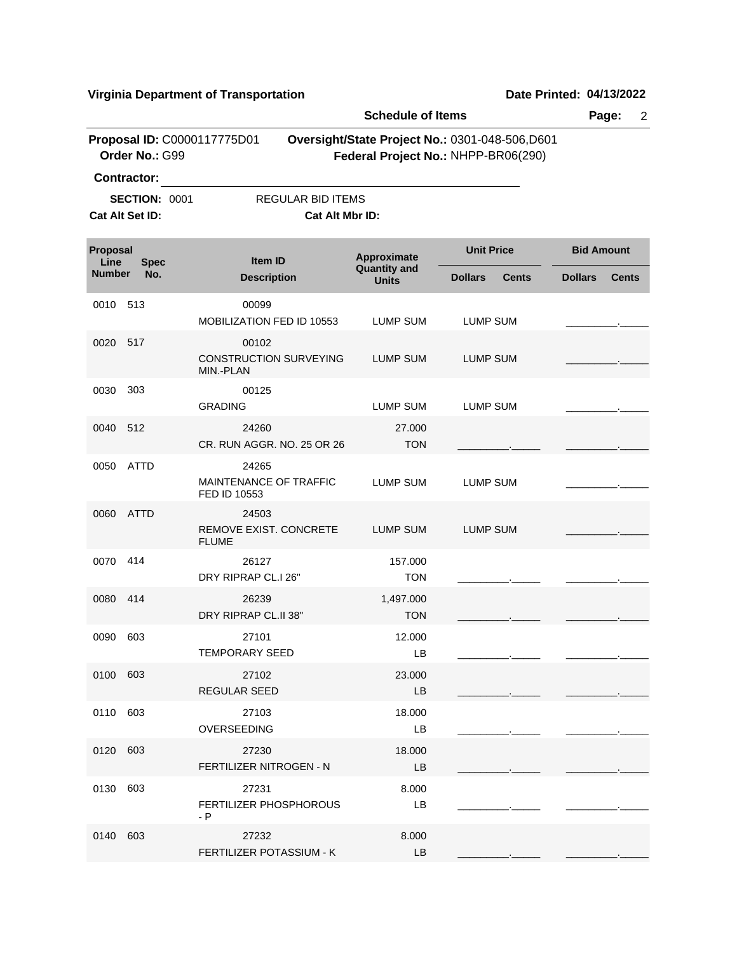**Virginia Department of Transportation Date Printed: 04/13/2022**

|                       |                                                               |                                                        | <b>Schedule of Items</b>            |                                                                                       |                   |              |
|-----------------------|---------------------------------------------------------------|--------------------------------------------------------|-------------------------------------|---------------------------------------------------------------------------------------|-------------------|--------------|
|                       | Proposal ID: C0000117775D01<br>Order No.: G99                 |                                                        |                                     | Oversight/State Project No.: 0301-048-506,D601<br>Federal Project No.: NHPP-BR06(290) |                   |              |
|                       | <b>Contractor:</b><br><b>SECTION: 0001</b><br>Cat Alt Set ID: | <b>REGULAR BID ITEMS</b><br>Cat Alt Mbr ID:            |                                     |                                                                                       |                   |              |
| Proposal              |                                                               | Item ID                                                | Approximate                         | <b>Unit Price</b>                                                                     | <b>Bid Amount</b> |              |
| Line<br><b>Number</b> | <b>Spec</b><br>No.                                            | <b>Description</b>                                     | <b>Quantity and</b><br><b>Units</b> | <b>Dollars</b><br><b>Cents</b>                                                        | <b>Dollars</b>    | <b>Cents</b> |
| 0010                  | 513                                                           | 00099<br>MOBILIZATION FED ID 10553                     | <b>LUMP SUM</b>                     | <b>LUMP SUM</b>                                                                       |                   |              |
| 0020                  | 517                                                           | 00102<br><b>CONSTRUCTION SURVEYING</b><br>MIN.-PLAN    | <b>LUMP SUM</b>                     | <b>LUMP SUM</b>                                                                       |                   |              |
| 0030                  | 303                                                           | 00125<br><b>GRADING</b>                                | <b>LUMP SUM</b>                     | <b>LUMP SUM</b>                                                                       |                   |              |
| 0040                  | 512                                                           | 24260<br>CR. RUN AGGR, NO. 25 OR 26                    | 27.000<br><b>TON</b>                |                                                                                       |                   |              |
| 0050                  | <b>ATTD</b>                                                   | 24265<br><b>MAINTENANCE OF TRAFFIC</b><br>FED ID 10553 | LUMP SUM                            | <b>LUMP SUM</b>                                                                       |                   |              |
| 0060                  | ATTD                                                          | 24503<br>REMOVE EXIST. CONCRETE<br><b>FLUME</b>        | <b>LUMP SUM</b>                     | <b>LUMP SUM</b>                                                                       |                   |              |
| 0070                  | 414                                                           | 26127<br>DRY RIPRAP CL.I 26"                           | 157.000<br><b>TON</b>               |                                                                                       |                   |              |
| 0080                  | 414                                                           | 26239<br>DRY RIPRAP CL.II 38"                          | 1,497.000<br><b>TON</b>             |                                                                                       |                   |              |
| 0090                  | 603                                                           | 27101<br>TEMPORARY SEED                                | 12.000<br>LВ                        |                                                                                       |                   |              |
| 0100 603              |                                                               | 27102<br><b>REGULAR SEED</b>                           | 23.000<br>LB                        |                                                                                       |                   |              |
| 0110 603              |                                                               | 27103<br><b>OVERSEEDING</b>                            | 18.000<br>LB                        |                                                                                       |                   |              |
| 0120                  | 603                                                           | 27230<br>FERTILIZER NITROGEN - N                       | 18.000<br><b>LB</b>                 |                                                                                       |                   |              |
| 0130                  | 603                                                           | 27231<br><b>FERTILIZER PHOSPHOROUS</b><br>- P          | 8.000<br>LB                         |                                                                                       |                   |              |
| 0140                  | 603                                                           | 27232<br>FERTILIZER POTASSIUM - K                      | 8.000<br>LB                         |                                                                                       |                   |              |